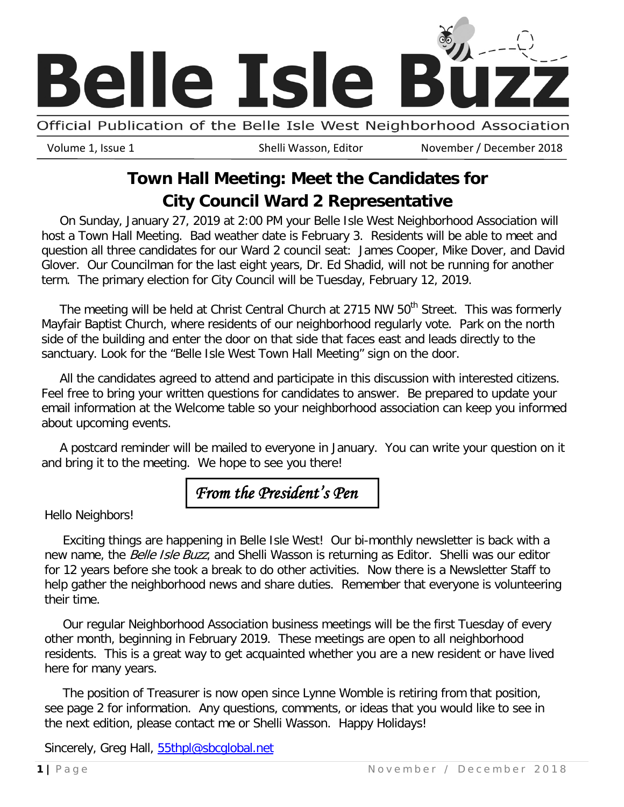

Official Publication of the Belle Isle West Neighborhood Association

Volume 1, Issue 1 Shelli Wasson, Editor November / December 2018

# **Town Hall Meeting: Meet the Candidates for City Council Ward 2 Representative**

On Sunday, January 27, 2019 at 2:00 PM your Belle Isle West Neighborhood Association will host a Town Hall Meeting. Bad weather date is February 3. Residents will be able to meet and question all three candidates for our Ward 2 council seat: James Cooper, Mike Dover, and David Glover. Our Councilman for the last eight years, Dr. Ed Shadid, will not be running for another term. The primary election for City Council will be Tuesday, February 12, 2019.

The meeting will be held at Christ Central Church at 2715 NW 50<sup>th</sup> Street. This was formerly Mayfair Baptist Church, where residents of our neighborhood regularly vote. Park on the north side of the building and enter the door on that side that faces east and leads directly to the sanctuary. Look for the "Belle Isle West Town Hall Meeting" sign on the door.

All the candidates agreed to attend and participate in this discussion with interested citizens. Feel free to bring your written questions for candidates to answer. Be prepared to update your email information at the Welcome table so your neighborhood association can keep you informed about upcoming events.

A postcard reminder will be mailed to everyone in January. You can write your question on it and bring it to the meeting. We hope to see you there!

# *From the President's Pen*

Hello Neighbors!

Exciting things are happening in Belle Isle West! Our bi-monthly newsletter is back with a new name, the Belle Isle Buzz, and Shelli Wasson is returning as Editor. Shelli was our editor for 12 years before she took a break to do other activities. Now there is a Newsletter Staff to help gather the neighborhood news and share duties. Remember that everyone is volunteering their time.

Our regular Neighborhood Association business meetings will be the first Tuesday of every other month, beginning in February 2019. These meetings are open to all neighborhood residents. This is a great way to get acquainted whether you are a new resident or have lived here for many years.

The position of Treasurer is now open since Lynne Womble is retiring from that position, see page 2 for information. Any questions, comments, or ideas that you would like to see in the next edition, please contact me or Shelli Wasson. Happy Holidays!

Sincerely, Greg Hall, [55thpl@sbcglobal.net](mailto:55thpl@sbcglobal.net)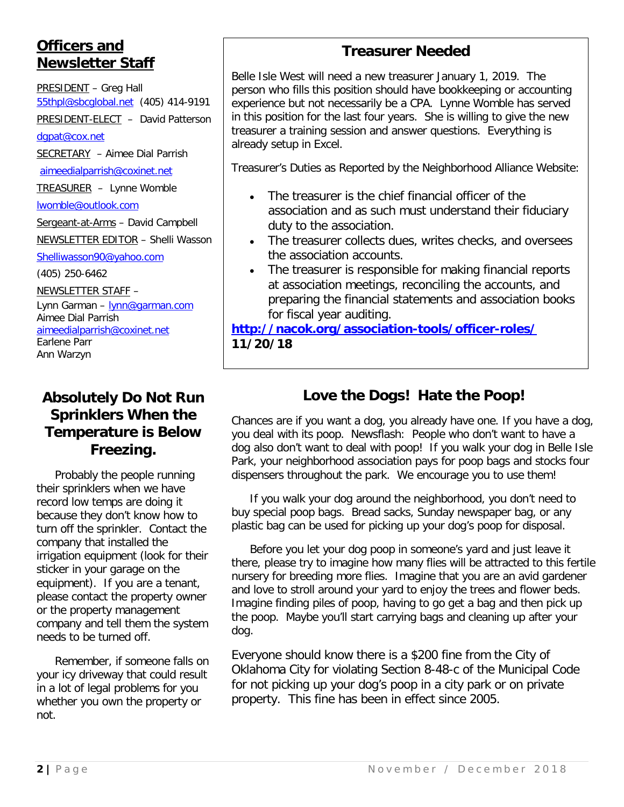## **Officers and Newsletter Staff**

PRESIDENT – Greg Hall [55thpl@sbcglobal.net](mailto:55thpl@sbcglobal.net) (405) 414-9191

PRESIDENT-ELECT – David Patterson

[dgpat@cox.net](mailto:dgpat@cox.net)

SECRETARY – Aimee Dial Parrish

[aimeedialparrish@coxinet.net](mailto:aimeedialparrish@coxinet.net)

TREASURER – Lynne Womble

[lwomble@outlook.com](mailto:lwomble@outlook.com)

Sergeant-at-Arms - David Campbell NEWSLETTER EDITOR – Shelli Wasson

[Shelliwasson90@yahoo.com](mailto:Shelliwasson90@yahoo.com)

(405) 250-6462

NEWSLETTER STAFF – Lynn Garman – [lynn@garman.com](mailto:lynn@garman.com) Aimee Dial Parrish [aimeedialparrish@coxinet.net](mailto:aimeedialparrish@coxinet.net) Earlene Parr Ann Warzyn

#### **Absolutely Do Not Run Sprinklers When the Temperature is Below Freezing.**

Probably the people running their sprinklers when we have record low temps are doing it because they don't know how to turn off the sprinkler. Contact the company that installed the irrigation equipment (look for their sticker in your garage on the equipment). If you are a tenant, please contact the property owner or the property management company and tell them the system needs to be turned off.

Remember, if someone falls on your icy driveway that could result in a lot of legal problems for you whether you own the property or not.

### **Treasurer Needed**

Belle Isle West will need a new treasurer January 1, 2019. The person who fills this position should have bookkeeping or accounting experience but not necessarily be a CPA. Lynne Womble has served in this position for the last four years. She is willing to give the new treasurer a training session and answer questions. Everything is already setup in Excel.

Treasurer's Duties as Reported by the Neighborhood Alliance Website:

- The treasurer is the chief financial officer of the association and as such must understand their fiduciary duty to the association.
- The treasurer collects dues, writes checks, and oversees the association accounts.
- The treasurer is responsible for making financial reports at association meetings, reconciling the accounts, and preparing the financial statements and association books for fiscal year auditing.

#### **<http://nacok.org/association-tools/officer-roles/> 11/20/18**

## **Love the Dogs! Hate the Poop!**

Chances are if you want a dog, you already have one. If you have a dog, you deal with its poop. Newsflash: People who don't want to have a dog also don't want to deal with poop! If you walk your dog in Belle Isle Park, your neighborhood association pays for poop bags and stocks four dispensers throughout the park. We encourage you to use them!

If you walk your dog around the neighborhood, you don't need to buy special poop bags. Bread sacks, Sunday newspaper bag, or any plastic bag can be used for picking up your dog's poop for disposal.

Before you let your dog poop in someone's yard and just leave it there, please try to imagine how many flies will be attracted to this fertile nursery for breeding more flies. Imagine that you are an avid gardener and love to stroll around your yard to enjoy the trees and flower beds. Imagine finding piles of poop, having to go get a bag and then pick up the poop. Maybe you'll start carrying bags and cleaning up after your dog.

Everyone should know there is a \$200 fine from the City of Oklahoma City for violating Section 8-48-c of the Municipal Code for not picking up your dog's poop in a city park or on private property. This fine has been in effect since 2005.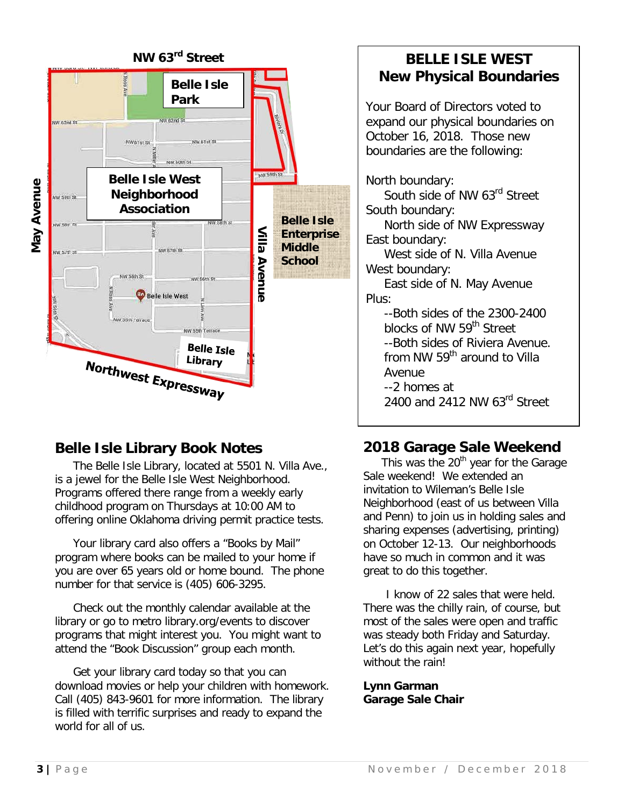

## **Belle Isle Library Book Notes**

The Belle Isle Library, located at 5501 N. Villa Ave., is a jewel for the Belle Isle West Neighborhood. Programs offered there range from a weekly early childhood program on Thursdays at 10:00 AM to offering online Oklahoma driving permit practice tests.

Your library card also offers a "Books by Mail" program where books can be mailed to your home if you are over 65 years old or home bound. The phone number for that service is (405) 606-3295.

Check out the monthly calendar available at the library or go to metro library.org/events to discover programs that might interest you. You might want to attend the "Book Discussion" group each month.

Get your library card today so that you can download movies or help your children with homework. Call (405) 843-9601 for more information. The library is filled with terrific surprises and ready to expand the world for all of us.

#### **BELLE ISLE WEST New Physical Boundaries**

Your Board of Directors voted to expand our physical boundaries on October 16, 2018. Those new boundaries are the following:

#### North boundary:

South side of NW 63<sup>rd</sup> Street South boundary:

North side of NW Expressway East boundary:

West side of N. Villa Avenue West boundary:

East side of N. May Avenue Plus:

--Both sides of the 2300-2400 blocks of NW 59<sup>th</sup> Street --Both sides of Riviera Avenue. from NW 59<sup>th</sup> around to Villa Avenue --2 homes at 2400 and 2412 NW 63rd Street

## **2018 Garage Sale Weekend**

This was the  $20<sup>th</sup>$  year for the Garage Sale weekend! We extended an invitation to Wileman's Belle Isle Neighborhood (east of us between Villa and Penn) to join us in holding sales and sharing expenses (advertising, printing) on October 12-13. Our neighborhoods have so much in common and it was great to do this together.

I know of 22 sales that were held. There was the chilly rain, of course, but most of the sales were open and traffic was steady both Friday and Saturday. Let's do this again next year, hopefully without the rain!

**Lynn Garman Garage Sale Chair**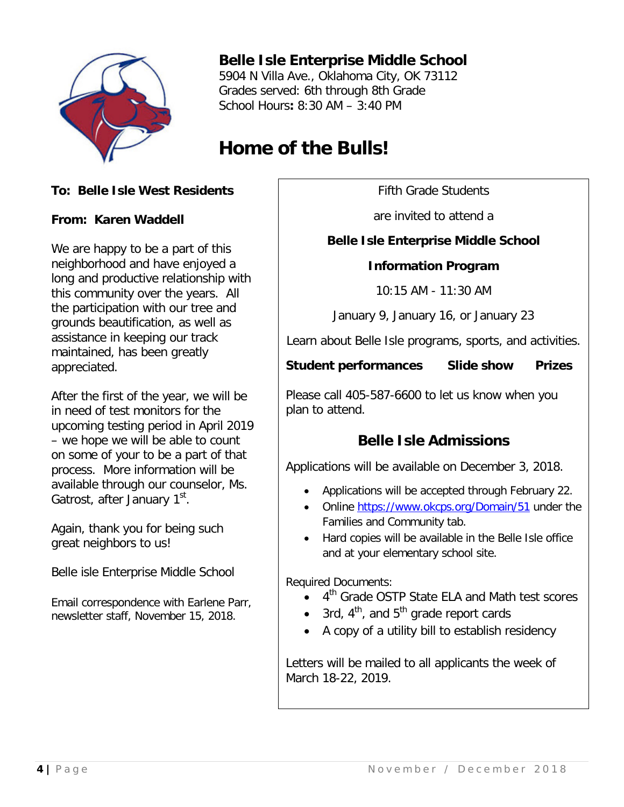

### **Belle Isle Enterprise Middle School**

5904 N Villa Ave., Oklahoma City, OK 73112 Grades served: 6th through 8th Grade School Hours**:** 8:30 AM – 3:40 PM

# **Home of the Bulls!**

#### **To: Belle Isle West Residents**

#### **From: Karen Waddell**

We are happy to be a part of this neighborhood and have enjoyed a long and productive relationship with this community over the years. All the participation with our tree and grounds beautification, as well as assistance in keeping our track maintained, has been greatly appreciated.

After the first of the year, we will be in need of test monitors for the upcoming testing period in April 2019 – we hope we will be able to count on some of your to be a part of that process. More information will be available through our counselor, Ms. Gatrost, after January 1<sup>st</sup>.

Again, thank you for being such great neighbors to us!

Belle isle Enterprise Middle School

Email correspondence with Earlene Parr, newsletter staff, November 15, 2018.

Fifth Grade Students

are invited to attend a

#### **Belle Isle Enterprise Middle School**

#### **Information Program**

10:15 AM - 11:30 AM

January 9, January 16, or January 23

Learn about Belle Isle programs, sports, and activities.

**Student performances Slide show Prizes**

Please call 405-587-6600 to let us know when you plan to attend.

## **Belle Isle Admissions**

Applications will be available on December 3, 2018.

- Applications will be accepted through February 22.
- Online<https://www.okcps.org/Domain/51> under the Families and Community tab.
- Hard copies will be available in the Belle Isle office and at your elementary school site.

Required Documents:

- $\bullet$  4<sup>th</sup> Grade OSTP State ELA and Math test scores
- 3rd,  $4^{th}$ , and  $5^{th}$  grade report cards
- A copy of a utility bill to establish residency

Letters will be mailed to all applicants the week of March 18-22, 2019.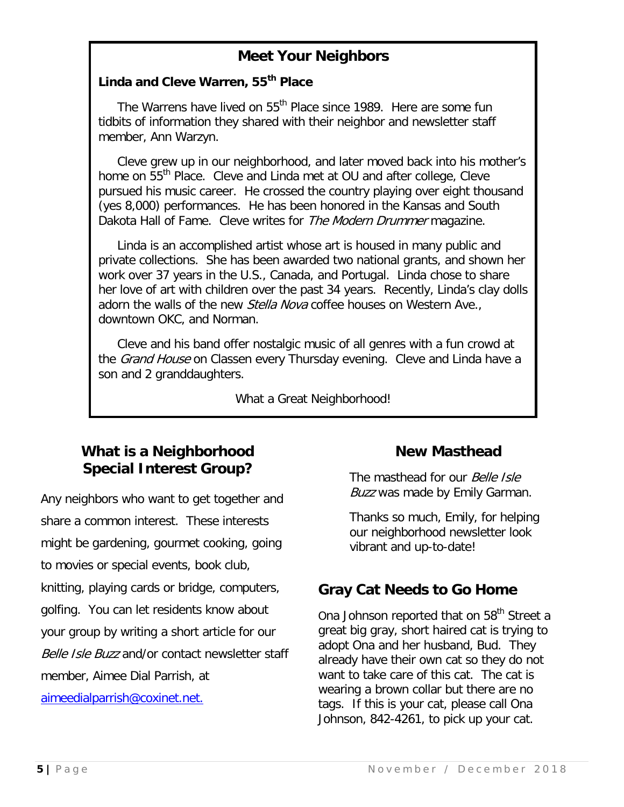### **Meet Your Neighbors**

#### **Linda and Cleve Warren, 55th Place**

The Warrens have lived on 55<sup>th</sup> Place since 1989. Here are some fun tidbits of information they shared with their neighbor and newsletter staff member, Ann Warzyn.

 Cleve grew up in our neighborhood, and later moved back into his mother's home on 55<sup>th</sup> Place. Cleve and Linda met at OU and after college, Cleve pursued his music career. He crossed the country playing over eight thousand (yes 8,000) performances. He has been honored in the Kansas and South Dakota Hall of Fame. Cleve writes for The Modern Drummer magazine.

 Linda is an accomplished artist whose art is housed in many public and private collections. She has been awarded two national grants, and shown her work over 37 years in the U.S., Canada, and Portugal. Linda chose to share her love of art with children over the past 34 years. Recently, Linda's clay dolls adorn the walls of the new *Stella Nova* coffee houses on Western Ave., downtown OKC, and Norman.

 Cleve and his band offer nostalgic music of all genres with a fun crowd at the *Grand House* on Classen every Thursday evening. Cleve and Linda have a son and 2 granddaughters.

What a Great Neighborhood!

### **What is a Neighborhood Special Interest Group?**

Any neighbors who want to get together and share a common interest. These interests might be gardening, gourmet cooking, going to movies or special events, book club, knitting, playing cards or bridge, computers, golfing. You can let residents know about your group by writing a short article for our Belle Isle Buzz and/or contact newsletter staff member, Aimee Dial Parrish, at [aimeedialparrish@coxinet.net.](mailto:aimeedialparrish@coxinet.net)

#### **New Masthead**

The masthead for our *Belle Isle* **Buzz was made by Emily Garman.** 

Thanks so much, Emily, for helping our neighborhood newsletter look vibrant and up-to-date!

### **Gray Cat Needs to Go Home**

Ona Johnson reported that on 58<sup>th</sup> Street a great big gray, short haired cat is trying to adopt Ona and her husband, Bud. They already have their own cat so they do not want to take care of this cat. The cat is wearing a brown collar but there are no tags. If this is your cat, please call Ona Johnson, 842-4261, to pick up your cat.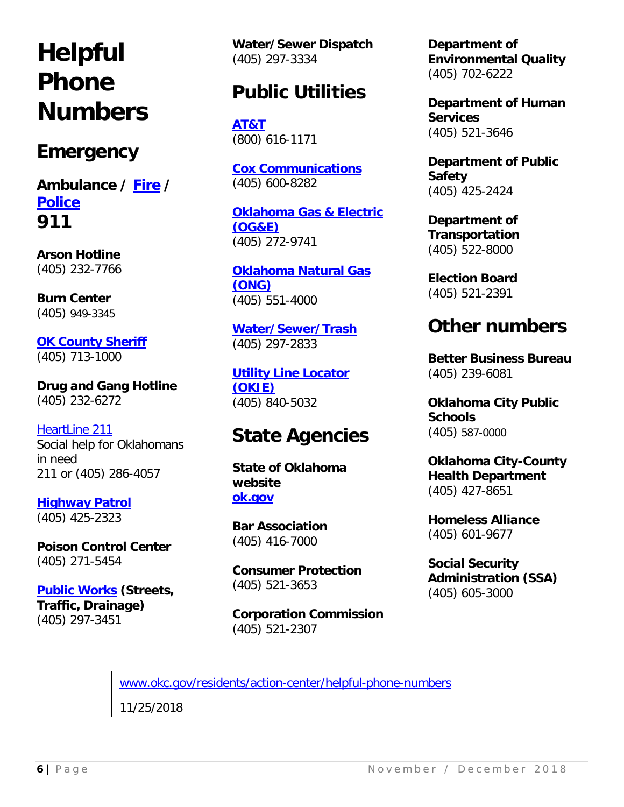# **Helpful Phone Numbers**

# **Emergency**

**Ambulance / [Fire](https://www.okc.gov/departments/fire) / [Police](https://www.okc.gov/departments/police) 911**

**Arson Hotline** (405) 232-7766

**Burn Center** (405) 949-3345

**[OK County Sheriff](http://www.oklahomacounty.org/sheriff/)** (405) 713-1000

**Drug and Gang Hotline** (405) 232-6272

[HeartLine 211](http://heartlineoklahoma.org/) Social help for Oklahomans in need 211 or (405) 286-4057

**[Highway Patrol](http://www.dps.state.ok.us/ohp/tngrct/ohpweb/index.html)** (405) 425-2323

**Poison Control Center** (405) 271-5454

**[Public Works](https://www.okc.gov/departments/public-works) (Streets, Traffic, Drainage)** (405) 297-3451

**Water/Sewer Dispatch** (405) 297-3334

# **Public Utilities**

**[AT&T](https://www.att.com/)**  (800) 616-1171

**[Cox Communications](https://www.cox.com/residential/home.html)** (405) 600-8282

**[Oklahoma Gas & Electric](https://oge.com/)  [\(OG&E\)](https://oge.com/)** (405) 272-9741

**[Oklahoma Natural Gas](https://www.oklahomanaturalgas.com/)  [\(ONG\)](https://www.oklahomanaturalgas.com/)** (405) 551-4000

**[Water/Sewer/Trash](https://www.okc.gov/departments/utilities)** (405) 297-2833

**[Utility Line Locator](http://www.okie811.org/)  [\(OKIE\)](http://www.okie811.org/)** (405) 840-5032

# **State Agencies**

**State of Oklahoma website [ok.gov](https://www.ok.gov/)**

**Bar Association** (405) 416-7000

**Consumer Protection** (405) 521-3653

**Corporation Commission** (405) 521-2307

**Department of Environmental Quality** (405) 702-6222

**Department of Human Services** (405) 521-3646

**Department of Public Safety** (405) 425-2424

**Department of Transportation** (405) 522-8000

**Election Board** (405) 521-2391

# **Other numbers**

**Better Business Bureau** (405) 239-6081

**Oklahoma City Public Schools** (405) 587-0000

**Oklahoma City-County Health Department** (405) 427-8651

**Homeless Alliance** (405) 601-9677

**Social Security Administration (SSA)**  (405) 605-3000

[www.okc.gov/residents/action-center/helpful-phone-numbers](http://www.okc.gov/residents/action-center/helpful-phone-numbers)

11/25/2018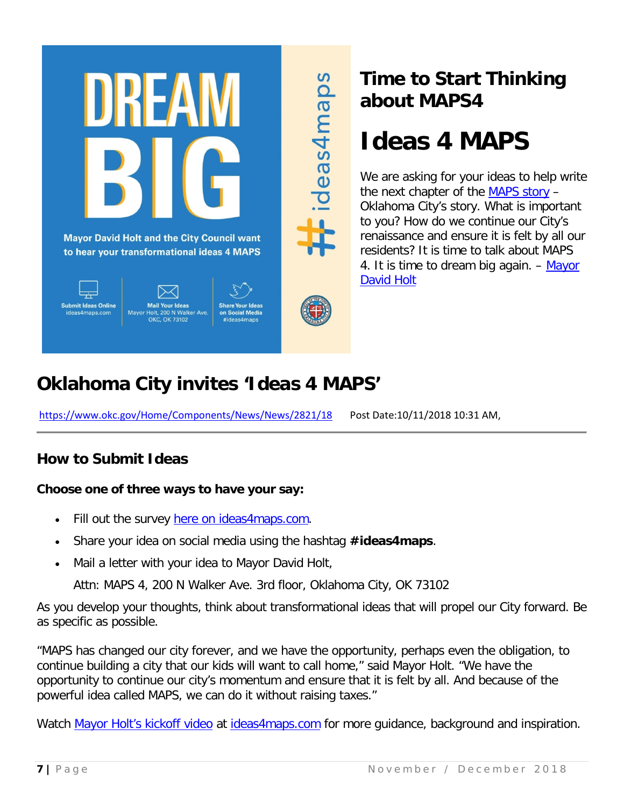

# **Time to Start Thinking about MAPS4**

# **Ideas 4 MAPS**

We are asking for your ideas to help write the next chapter of the [MAPS story](https://www.okc.gov/government/maps-3/maps-history) – Oklahoma City's story. What is important to you? How do we continue our City's renaissance and ensure it is felt by all our residents? It is time to talk about MAPS 4. It is time to dream big again. – [Mayor](https://www.okc.gov/government/mayor)  [David Holt](https://www.okc.gov/government/mayor)

# **Oklahoma City invites 'Ideas 4 MAPS'**

<https://www.okc.gov/Home/Components/News/News/2821/18>Post Date:10/11/2018 10:31 AM,

### **How to Submit Ideas**

#### **Choose one of three ways to have your say:**

- Fill out the survey [here on ideas4maps.com.](https://www.okc.gov/government/maps-4/submit-your-idea)
- Share your idea on social media using the hashtag **#ideas4maps**.
- Mail a letter with your idea to Mayor David Holt,

Attn: MAPS 4, 200 N Walker Ave. 3rd floor, Oklahoma City, OK 73102

As you develop your thoughts, think about transformational ideas that will propel our City forward. Be as specific as possible.

ideas4maps

"MAPS has changed our city forever, and we have the opportunity, perhaps even the obligation, to continue building a city that our kids will want to call home," said Mayor Holt. "We have the opportunity to continue our city's momentum and ensure that it is felt by all. And because of the powerful idea called MAPS, we can do it without raising taxes."

Watch [Mayor Holt's kickoff video](https://www.youtube.com/watch?v=iEw1E_UtjjE) at [ideas4maps.com](https://www.okc.gov/government/maps-4) for more guidance, background and inspiration.